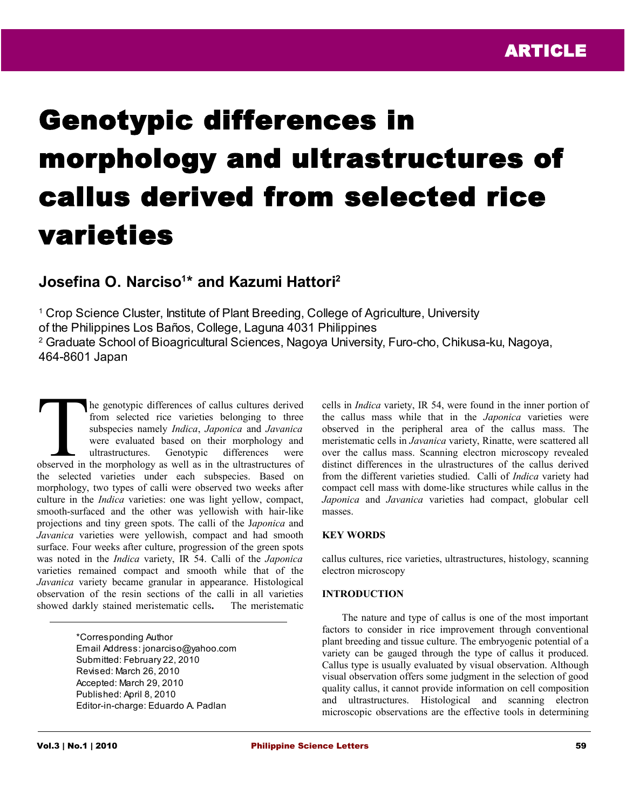# Genotypic differences in morphology and ultrastructures of callus derived from selected rice varieties

# **Josefina O. Narciso<sup>1</sup> \* and Kazumi Hattori<sup>2</sup>**

<sup>1</sup> Crop Science Cluster, Institute of Plant Breeding, College of Agriculture, University of the Philippines Los Baños, College, Laguna 4031 Philippines 2 Graduate School of Bioagricultural Sciences, Nagoya University, Furo-cho, Chikusa-ku, Nagoya, 464-8601 Japan

he genotypic differences of callus cultures derived from selected rice varieties belonging to three subspecies namely *Indica*, *Japonica* and *Javanica* were evaluated based on their morphology and ultrastructures. Genotypic differences were The genotypic differences of callus cultures derived<br>from selected rice varieties belonging to three<br>subspecies namely *Indica*, Japonica and Javanica<br>were evaluated based on their morphology and<br>ultrastructures. Genotypic the selected varieties under each subspecies. Based on morphology, two types of calli were observed two weeks after culture in the *Indica* varieties: one was light yellow, compact, smooth-surfaced and the other was yellowish with hair-like projections and tiny green spots. The calli of the J*aponica* and *Javanica* varieties were yellowish, compact and had smooth surface. Four weeks after culture, progression of the green spots was noted in the *Indica* variety, IR 54. Calli of the *Japonica* varieties remained compact and smooth while that of the *Javanica* variety became granular in appearance. Histological observation of the resin sections of the calli in all varieties showed darkly stained meristematic cells**.** The meristematic

> \*Corresponding Author Email Address: jonarciso@yahoo.com Submitted: February 22, 2010 Revised: March 26, 2010 Accepted: March 29, 2010 Published: April 8, 2010 Editor-in-charge: Eduardo A. Padlan

cells in *Indica* variety, IR 54, were found in the inner portion of the callus mass while that in the *Japonica* varieties were observed in the peripheral area of the callus mass. The meristematic cells in *Javanica* variety, Rinatte, were scattered all over the callus mass. Scanning electron microscopy revealed distinct differences in the ulrastructures of the callus derived from the different varieties studied. Calli of *Indica* variety had compact cell mass with dome-like structures while callus in the *Japonica* and *Javanica* varieties had compact, globular cell masses.

# **KEY WORDS**

callus cultures, rice varieties, ultrastructures, histology, scanning electron microscopy

## **INTRODUCTION**

The nature and type of callus is one of the most important factors to consider in rice improvement through conventional plant breeding and tissue culture. The embryogenic potential of a variety can be gauged through the type of callus it produced. Callus type is usually evaluated by visual observation. Although visual observation offers some judgment in the selection of good quality callus, it cannot provide information on cell composition and ultrastructures. Histological and scanning electron microscopic observations are the effective tools in determining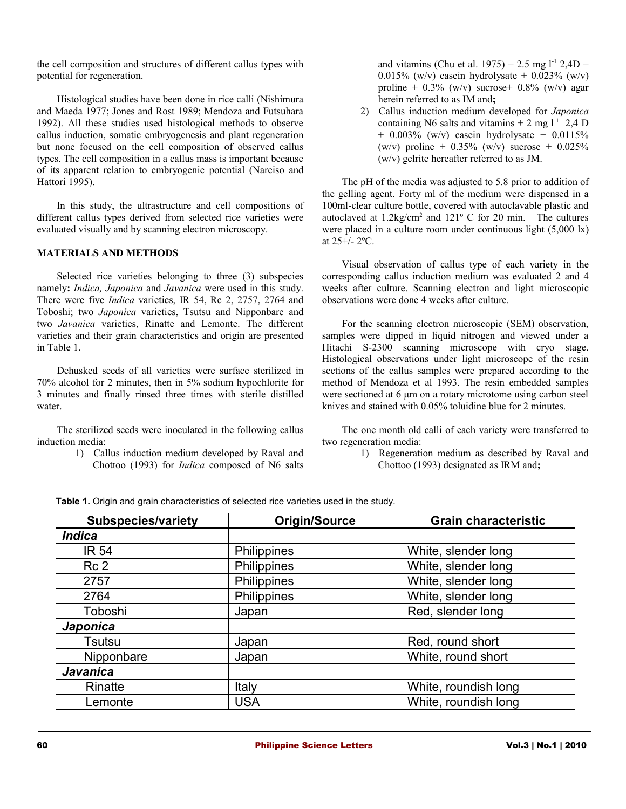the cell composition and structures of different callus types with potential for regeneration.

Histological studies have been done in rice calli (Nishimura and Maeda 1977; Jones and Rost 1989; Mendoza and Futsuhara 1992). All these studies used histological methods to observe callus induction, somatic embryogenesis and plant regeneration but none focused on the cell composition of observed callus types. The cell composition in a callus mass is important because of its apparent relation to embryogenic potential (Narciso and Hattori 1995).

In this study, the ultrastructure and cell compositions of different callus types derived from selected rice varieties were evaluated visually and by scanning electron microscopy.

## **MATERIALS AND METHODS**

Selected rice varieties belonging to three (3) subspecies namely**:** *Indica, Japonica* and *Javanica* were used in this study. There were five *Indica* varieties, IR 54, Rc 2, 2757, 2764 and Toboshi; two *Japonica* varieties, Tsutsu and Nipponbare and two *Javanica* varieties, Rinatte and Lemonte. The different varieties and their grain characteristics and origin are presented in Table 1.

Dehusked seeds of all varieties were surface sterilized in 70% alcohol for 2 minutes, then in 5% sodium hypochlorite for 3 minutes and finally rinsed three times with sterile distilled water.

The sterilized seeds were inoculated in the following callus induction media:

> 1) Callus induction medium developed by Raval and Chottoo (1993) for *Indica* composed of N6 salts

and vitamins (Chu et al. 1975) + 2.5 mg  $l^{-1}$  2,4D + 0.015% (w/v) casein hydrolysate + 0.023% (w/v) proline +  $0.3\%$  (w/v) sucrose +  $0.8\%$  (w/v) agar herein referred to as IM and**;**

2) Callus induction medium developed for *Japonica* containing N6 salts and vitamins  $+ 2$  mg  $l^{-1}$  2,4 D  $+ 0.003\%$  (w/v) casein hydrolysate  $+ 0.0115\%$ (w/v) proline +  $0.35\%$  (w/v) sucrose +  $0.025\%$ (w/v) gelrite hereafter referred to as JM.

The pH of the media was adjusted to 5.8 prior to addition of the gelling agent. Forty ml of the medium were dispensed in a 100ml-clear culture bottle, covered with autoclavable plastic and autoclaved at  $1.2 \text{kg/cm}^2$  and  $121^\circ$  C for 20 min. The cultures were placed in a culture room under continuous light (5,000 lx) at 25+/- 2ºC.

Visual observation of callus type of each variety in the corresponding callus induction medium was evaluated 2 and 4 weeks after culture. Scanning electron and light microscopic observations were done 4 weeks after culture.

For the scanning electron microscopic (SEM) observation, samples were dipped in liquid nitrogen and viewed under a Hitachi S-2300 scanning microscope with cryo stage. Histological observations under light microscope of the resin sections of the callus samples were prepared according to the method of Mendoza et al 1993. The resin embedded samples were sectioned at 6 μm on a rotary microtome using carbon steel knives and stained with 0.05% toluidine blue for 2 minutes.

The one month old calli of each variety were transferred to two regeneration media:

> 1) Regeneration medium as described by Raval and Chottoo (1993) designated as IRM and**;**

| <b>Subspecies/variety</b> | <b>Origin/Source</b> | <b>Grain characteristic</b> |
|---------------------------|----------------------|-----------------------------|
| <b>Indica</b>             |                      |                             |
| <b>IR 54</b>              | Philippines          | White, slender long         |
| Rc <sub>2</sub>           | Philippines          | White, slender long         |
| 2757                      | Philippines          | White, slender long         |
| 2764                      | Philippines          | White, slender long         |
| Toboshi                   | Japan                | Red, slender long           |
| Japonica                  |                      |                             |
| Tsutsu                    | Japan                | Red, round short            |
| Nipponbare                | Japan                | White, round short          |
| <b>Javanica</b>           |                      |                             |
| Rinatte                   | Italy                | White, roundish long        |
| Lemonte                   | <b>USA</b>           | White, roundish long        |

**Table 1.** Origin and grain characteristics of selected rice varieties used in the study.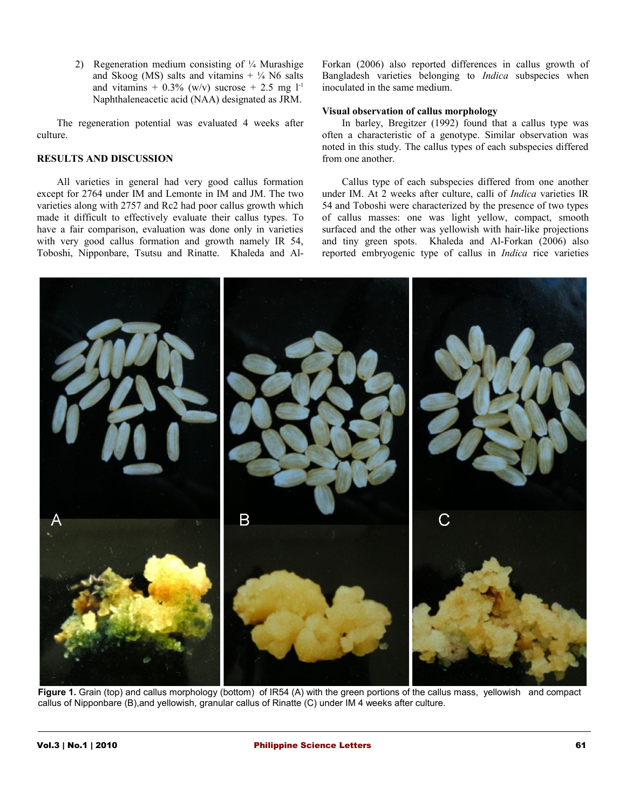2) Regeneration medium consisting of ¼ Murashige and Skoog (MS) salts and vitamins  $+ \frac{1}{4}$  N6 salts and vitamins +  $0.3\%$  (w/v) sucrose + 2.5 mg  $1<sup>-1</sup>$ Naphthaleneacetic acid (NAA) designated as JRM.

The regeneration potential was evaluated 4 weeks after culture.

# **RESULTS AND DISCUSSION**

All varieties in general had very good callus formation except for 2764 under IM and Lemonte in IM and JM. The two varieties along with 2757 and Rc2 had poor callus growth which made it difficult to effectively evaluate their callus types. To have a fair comparison, evaluation was done only in varieties with very good callus formation and growth namely IR 54, Toboshi, Nipponbare, Tsutsu and Rinatte. Khaleda and AlForkan (2006) also reported differences in callus growth of Bangladesh varieties belonging to *Indica* subspecies when inoculated in the same medium.

#### **Visual observation of callus morphology**

In barley, Bregitzer (1992) found that a callus type was often a characteristic of a genotype. Similar observation was noted in this study. The callus types of each subspecies differed from one another.

Callus type of each subspecies differed from one another under IM. At 2 weeks after culture, calli of *Indica* varieties IR 54 and Toboshi were characterized by the presence of two types of callus masses: one was light yellow, compact, smooth surfaced and the other was yellowish with hair-like projections and tiny green spots. Khaleda and Al-Forkan (2006) also reported embryogenic type of callus in *Indica* rice varieties



**Figure 1.** Grain (top) and callus morphology (bottom) of IR54 (A) with the green portions of the callus mass, yellowish and compact callus of Nipponbare (B),and yellowish, granular callus of Rinatte (C) under IM 4 weeks after culture.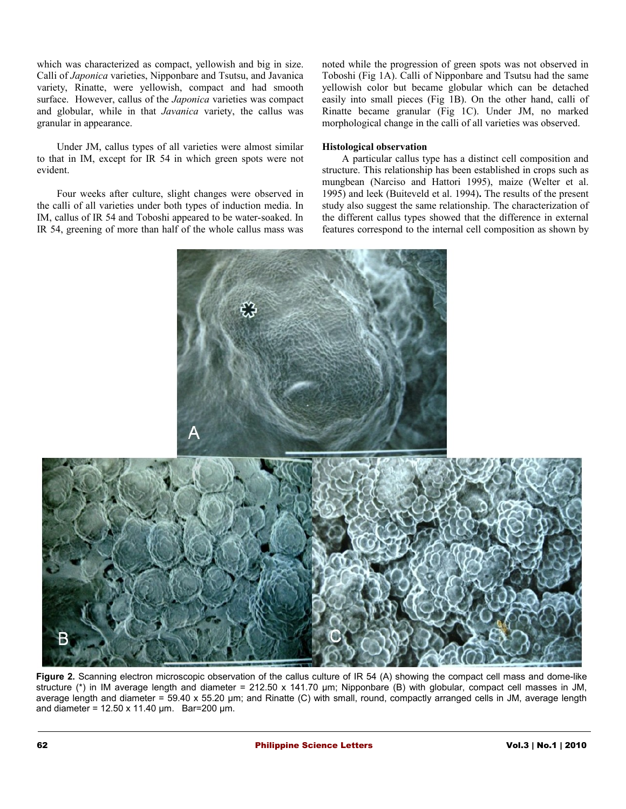which was characterized as compact, yellowish and big in size. Calli of *Japonica* varieties, Nipponbare and Tsutsu, and Javanica variety, Rinatte, were yellowish, compact and had smooth surface. However, callus of the *Japonica* varieties was compact and globular, while in that *Javanica* variety, the callus was granular in appearance.

Under JM, callus types of all varieties were almost similar to that in IM, except for IR 54 in which green spots were not evident.

Four weeks after culture, slight changes were observed in the calli of all varieties under both types of induction media. In IM, callus of IR 54 and Toboshi appeared to be water-soaked. In IR 54, greening of more than half of the whole callus mass was noted while the progression of green spots was not observed in Toboshi (Fig 1A). Calli of Nipponbare and Tsutsu had the same yellowish color but became globular which can be detached easily into small pieces (Fig 1B). On the other hand, calli of Rinatte became granular (Fig 1C). Under JM, no marked morphological change in the calli of all varieties was observed.

#### **Histological observation**

A particular callus type has a distinct cell composition and structure. This relationship has been established in crops such as mungbean (Narciso and Hattori 1995), maize (Welter et al. 1995) and leek (Buiteveld et al. 1994)**.** The results of the present study also suggest the same relationship. The characterization of the different callus types showed that the difference in external features correspond to the internal cell composition as shown by



**Figure 2.** Scanning electron microscopic observation of the callus culture of IR 54 (A) showing the compact cell mass and dome-like structure (\*) in IM average length and diameter = 212.50 x 141.70 µm; Nipponbare (B) with globular, compact cell masses in JM, average length and diameter = 59.40 x 55.20 μm; and Rinatte (C) with small, round, compactly arranged cells in JM, average length and diameter =  $12.50 \times 11.40 \mu m$ . Bar=200 μm.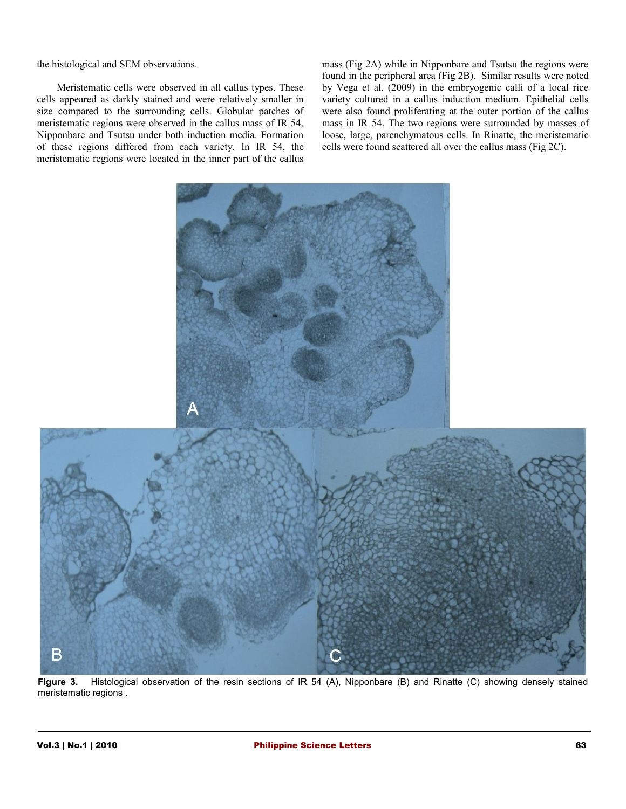the histological and SEM observations.

Meristematic cells were observed in all callus types. These cells appeared as darkly stained and were relatively smaller in size compared to the surrounding cells. Globular patches of meristematic regions were observed in the callus mass of IR 54, Nipponbare and Tsutsu under both induction media. Formation of these regions differed from each variety. In IR 54, the meristematic regions were located in the inner part of the callus

mass (Fig 2A) while in Nipponbare and Tsutsu the regions were found in the peripheral area (Fig 2B). Similar results were noted by Vega et al. (2009) in the embryogenic calli of a local rice variety cultured in a callus induction medium. Epithelial cells were also found proliferating at the outer portion of the callus mass in IR 54. The two regions were surrounded by masses of loose, large, parenchymatous cells. In Rinatte, the meristematic cells were found scattered all over the callus mass (Fig 2C).



**Figure 3.** Histological observation of the resin sections of IR 54 (A), Nipponbare (B) and Rinatte (C) showing densely stained meristematic regions .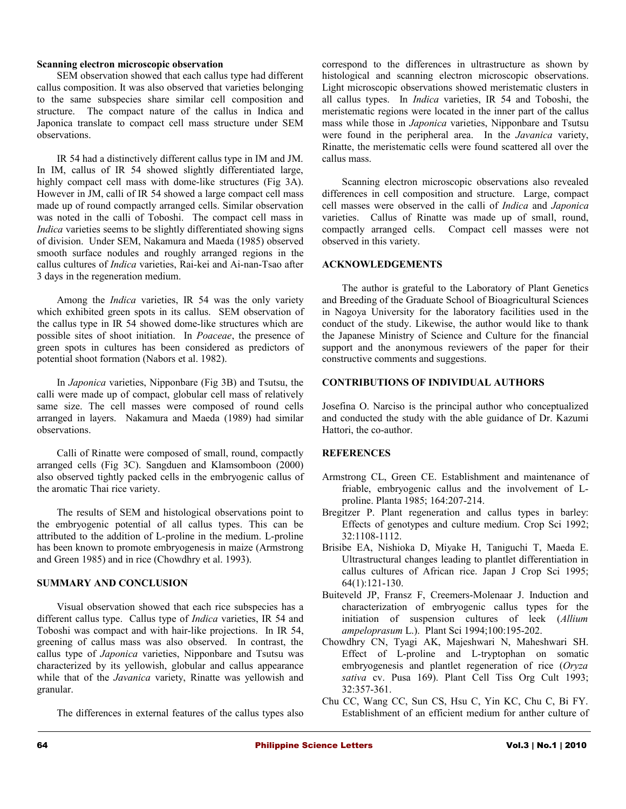#### **Scanning electron microscopic observation**

SEM observation showed that each callus type had different callus composition. It was also observed that varieties belonging to the same subspecies share similar cell composition and structure. The compact nature of the callus in Indica and Japonica translate to compact cell mass structure under SEM observations.

IR 54 had a distinctively different callus type in IM and JM. In IM, callus of IR 54 showed slightly differentiated large, highly compact cell mass with dome-like structures (Fig 3A). However in JM, calli of IR 54 showed a large compact cell mass made up of round compactly arranged cells. Similar observation was noted in the calli of Toboshi. The compact cell mass in *Indica* varieties seems to be slightly differentiated showing signs of division. Under SEM, Nakamura and Maeda (1985) observed smooth surface nodules and roughly arranged regions in the callus cultures of *Indica* varieties, Rai-kei and Ai-nan-Tsao after 3 days in the regeneration medium.

Among the *Indica* varieties, IR 54 was the only variety which exhibited green spots in its callus. SEM observation of the callus type in IR 54 showed dome-like structures which are possible sites of shoot initiation. In *Poaceae*, the presence of green spots in cultures has been considered as predictors of potential shoot formation (Nabors et al. 1982).

In *Japonica* varieties, Nipponbare (Fig 3B) and Tsutsu, the calli were made up of compact, globular cell mass of relatively same size. The cell masses were composed of round cells arranged in layers. Nakamura and Maeda (1989) had similar observations.

Calli of Rinatte were composed of small, round, compactly arranged cells (Fig 3C). Sangduen and Klamsomboon (2000) also observed tightly packed cells in the embryogenic callus of the aromatic Thai rice variety.

The results of SEM and histological observations point to the embryogenic potential of all callus types. This can be attributed to the addition of L-proline in the medium. L-proline has been known to promote embryogenesis in maize (Armstrong and Green 1985) and in rice (Chowdhry et al. 1993).

#### **SUMMARY AND CONCLUSION**

Visual observation showed that each rice subspecies has a different callus type. Callus type of *Indica* varieties, IR 54 and Toboshi was compact and with hair-like projections. In IR 54, greening of callus mass was also observed. In contrast, the callus type of *Japonica* varieties, Nipponbare and Tsutsu was characterized by its yellowish, globular and callus appearance while that of the *Javanica* variety, Rinatte was yellowish and granular.

The differences in external features of the callus types also

correspond to the differences in ultrastructure as shown by histological and scanning electron microscopic observations. Light microscopic observations showed meristematic clusters in all callus types. In *Indica* varieties, IR 54 and Toboshi, the meristematic regions were located in the inner part of the callus mass while those in *Japonica* varieties, Nipponbare and Tsutsu were found in the peripheral area. In the *Javanica* variety, Rinatte, the meristematic cells were found scattered all over the callus mass.

Scanning electron microscopic observations also revealed differences in cell composition and structure. Large, compact cell masses were observed in the calli of *Indica* and *Japonica* varieties. Callus of Rinatte was made up of small, round, compactly arranged cells. Compact cell masses were not observed in this variety.

#### **ACKNOWLEDGEMENTS**

The author is grateful to the Laboratory of Plant Genetics and Breeding of the Graduate School of Bioagricultural Sciences in Nagoya University for the laboratory facilities used in the conduct of the study. Likewise, the author would like to thank the Japanese Ministry of Science and Culture for the financial support and the anonymous reviewers of the paper for their constructive comments and suggestions.

#### **CONTRIBUTIONS OF INDIVIDUAL AUTHORS**

Josefina O. Narciso is the principal author who conceptualized and conducted the study with the able guidance of Dr. Kazumi Hattori, the co-author.

#### **REFERENCES**

- Armstrong CL, Green CE. Establishment and maintenance of friable, embryogenic callus and the involvement of Lproline. Planta 1985; 164:207-214.
- Bregitzer P. Plant regeneration and callus types in barley: Effects of genotypes and culture medium. Crop Sci 1992; 32:1108-1112.
- Brisibe EA, Nishioka D, Miyake H, Taniguchi T, Maeda E. Ultrastructural changes leading to plantlet differentiation in callus cultures of African rice. Japan J Crop Sci 1995; 64(1):121-130.
- Buiteveld JP, Fransz F, Creemers-Molenaar J. Induction and characterization of embryogenic callus types for the initiation of suspension cultures of leek (*Allium ampeloprasum* L.). Plant Sci 1994;100:195-202.
- Chowdhry CN, Tyagi AK, Majeshwari N, Maheshwari SH. Effect of L-proline and L-tryptophan on somatic embryogenesis and plantlet regeneration of rice (*Oryza sativa* cv. Pusa 169). Plant Cell Tiss Org Cult 1993; 32:357-361.
- Chu CC, Wang CC, Sun CS, Hsu C, Yin KC, Chu C, Bi FY. Establishment of an efficient medium for anther culture of